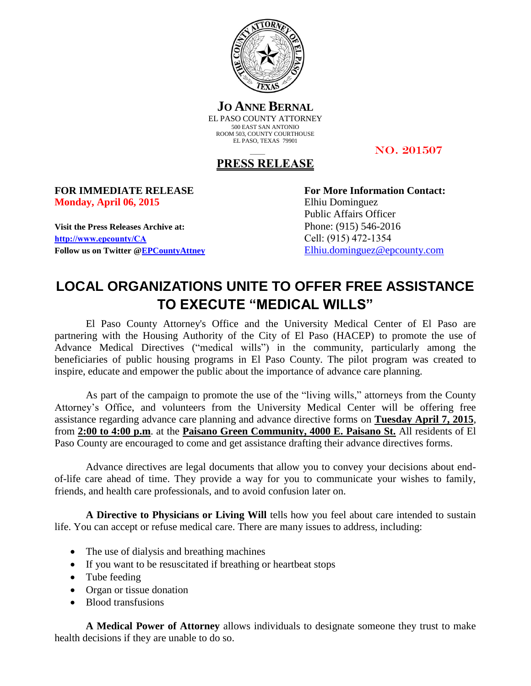

**JO ANNE BERNAL** EL PASO COUNTY ATTORNEY 500 EAST SAN ANTONIO ROOM 503, COUNTY COURTHOUSE EL PASO, TEXAS 79901

NO. 201507

#### **PRESS RELEASE**

**Monday, April 06, 2015** Elhiu Dominguez

**Visit the Press Releases Archive at:** Phone: (915) 546-2016 **[http://www.epcounty/CA](http://www.epcounty/CA/releases.htm)** Cell: (915) 472-1354 **Follow us on Twitter [@EPCountyAttney](http://twitter.com/EPCountyAttney)** [Elhiu.dominguez@epcounty.com](mailto:Elhiu.dominguez@epcounty.com)

**FOR IMMEDIATE RELEASE For More Information Contact:** Public Affairs Officer

# **LOCAL ORGANIZATIONS UNITE TO OFFER FREE ASSISTANCE TO EXECUTE "MEDICAL WILLS"**

El Paso County Attorney's Office and the University Medical Center of El Paso are partnering with the Housing Authority of the City of El Paso (HACEP) to promote the use of Advance Medical Directives ("medical wills") in the community, particularly among the beneficiaries of public housing programs in El Paso County. The pilot program was created to inspire, educate and empower the public about the importance of advance care planning.

As part of the campaign to promote the use of the "living wills," attorneys from the County Attorney's Office, and volunteers from the University Medical Center will be offering free assistance regarding advance care planning and advance directive forms on **Tuesday April 7, 2015**, from **2:00 to 4:00 p.m**. at the **Paisano Green Community, 4000 E. Paisano St.** All residents of El Paso County are encouraged to come and get assistance drafting their advance directives forms.

Advance directives are legal documents that allow you to convey your decisions about endof-life care ahead of time. They provide a way for you to communicate your wishes to family, friends, and health care professionals, and to avoid confusion later on.

**A Directive to Physicians or Living Will** tells how you feel about care intended to sustain life. You can accept or refuse medical care. There are many issues to address, including:

- The use of dialysis and breathing machines
- If you want to be resuscitated if breathing or heartbeat stops
- Tube feeding
- Organ or tissue donation
- Blood transfusions

**A Medical Power of Attorney** allows individuals to designate someone they trust to make health decisions if they are unable to do so.